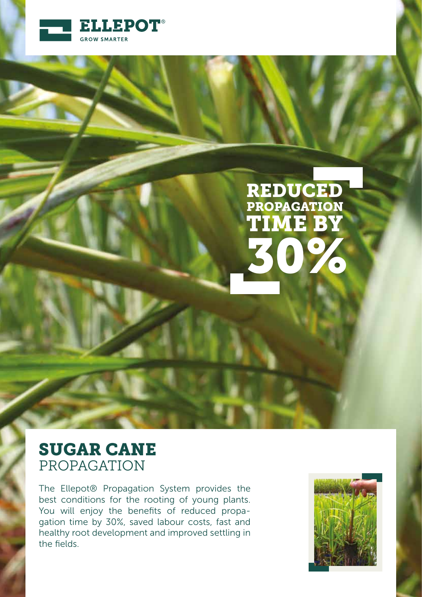

# REDUCED TIME BY 30% PROPAGATION

# SUGAR CANE PROPAGATION

The Ellepot® Propagation System provides the best conditions for the rooting of young plants. You will enjoy the benefits of reduced propagation time by 30%, saved labour costs, fast and healthy root development and improved settling in the fields.